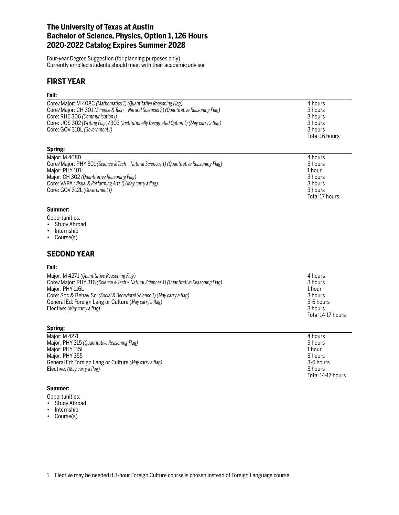# **The University of Texas at Austin Bachelor of Science, Physics, Option 1, 126 Hours 2020-2022 Catalog Expires Summer 2028**

Four-year Degree Suggestion (for planning purposes only) Currently enrolled students should meet with their academic advisor

# **FIRST YEAR**

### **Fall:**

| Core/Major: M 408C (Mathematics 1) (Quantitative Reasoning Flag)                          | 4 hours        |
|-------------------------------------------------------------------------------------------|----------------|
| Core/Major: CH 301 (Science & Tech – Natural Sciences 2) (Quantitative Reasoning Flag)    | 3 hours        |
| Core: RHE 306 (Communication I)                                                           | 3 hours        |
| Core: UGS 302 (Writing Flag)/303 (Institutionally Designated Option 1) (May carry a flag) | 3 hours        |
| Core: GOV 310L (Government I)                                                             | 3 hours        |
|                                                                                           | Total 16 hours |
| Spring:                                                                                   |                |
| Major: M 408D                                                                             | 4 hours        |
| Core/Major: PHY 301 (Science & Tech – Natural Sciences 1) (Quantitative Reasoning Flag)   | 3 hours        |
| Major: PHY 101L                                                                           | 1 hour         |
| Major: CH 302 (Quantitative Reasoning Flag)                                               | 3 hours        |
| Core: VAPA (Visual & Performing Arts I) (May carry a flag)                                | 3 hours        |
| Core: GOV 312L (Government I)                                                             | 3 hours        |
|                                                                                           | Total 17 hours |
|                                                                                           |                |

#### **Summer:**

Opportunities:

- Study Abroad
- Internship
- Course(s)

## **SECOND YEAR**

#### **Fall:**

| Spring:<br>$M = 1 - 1$ , $M = 1071$                                                                 |                      |
|-----------------------------------------------------------------------------------------------------|----------------------|
|                                                                                                     | Total 14-17 hours    |
| General Ed: Foreign Lang or Culture (May carry a flag)<br>Elective: (May carry a flag) <sup>1</sup> | 3-6 hours<br>3 hours |
| Core: Soc & Behav Sci (Social & Behavioral Science 1) (May carry a flag)                            | 3 hours              |
| Maior: PHY 116L                                                                                     | 1 hour               |
| Core/Major: PHY 316 (Science & Tech - Natural Sciences 1) (Quantitative Reasoning Flag)             | 3 hours              |
| Major: M 427J (Quantitative Reasoning Flag)                                                         | 4 hours              |

Total 14-17 hours

Major: M 427L<br>Major: PHY 315 *(Ouantitative Reasoning Flag)* 4 hours and the set of the set of the set of the set of the set o<br>3 hours 3 hours 3 hours and the set of the set of the set of the set of the set of the set of t Major: PHY 315 (Quantitative Reasoning Flag) Major: PHY 115L 1 hour and the control of the control of the control of the control of the control of the control of the control of the control of the control of the control of the control of the control of the control of Major: PHY 355 3 hours<br>General Ed: Foreign Lang or Culture (May carry a flag) 3-6 hours 3-6 hours General Ed: Foreign Lang or Culture *(May carry a flag)* Elective: *(May carry a flag)* 3 hours

### **Summer:**

- Opportunities:
- Study Abroad
- Internship
- Course(s)

<sup>1</sup> Elective may be needed if 3-hour Foreign Culture course is chosen instead of Foreign Language course